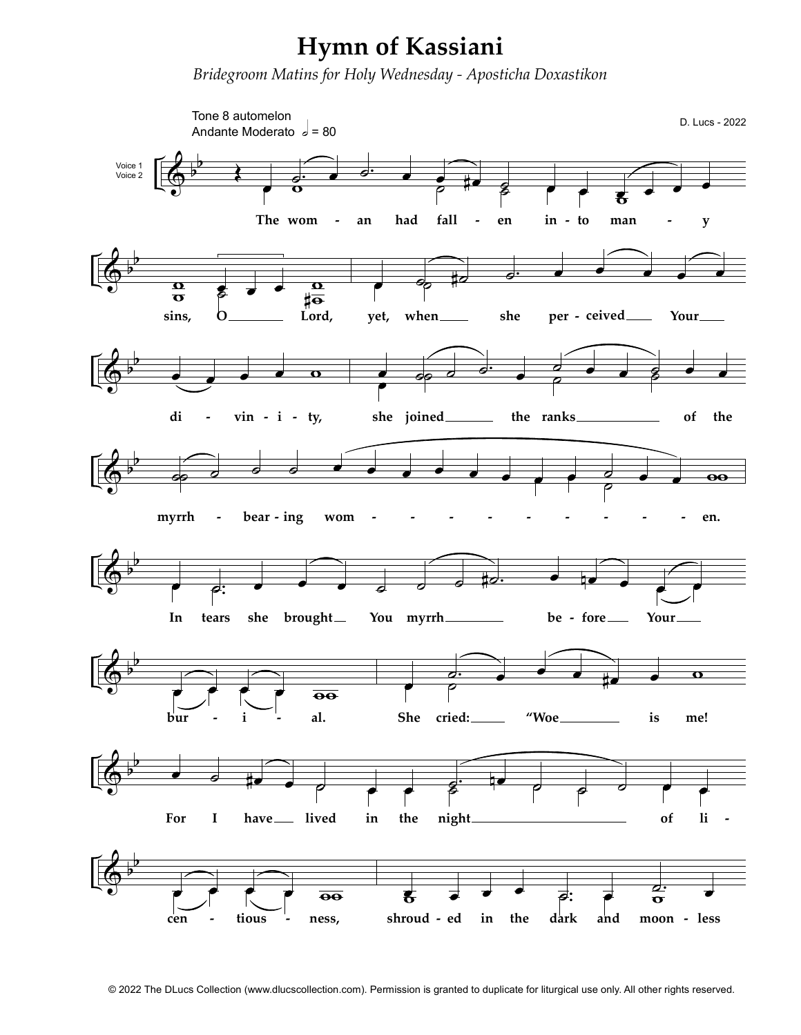## Hymn of Kassiani

Bridegroom Matins for Holy Wednesday - Aposticha Doxastikon



© 2022 The DLucs Collection (www.dlucscollection.com). Permission is granted to duplicate for liturgical use only. All other rights reserved.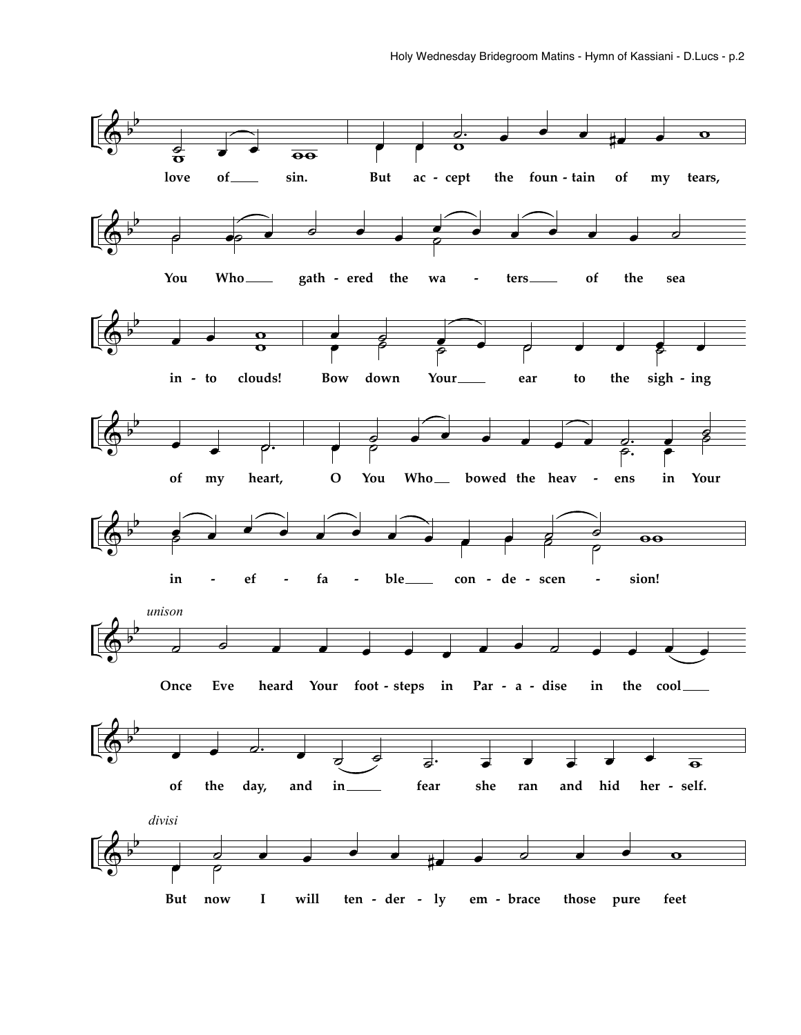